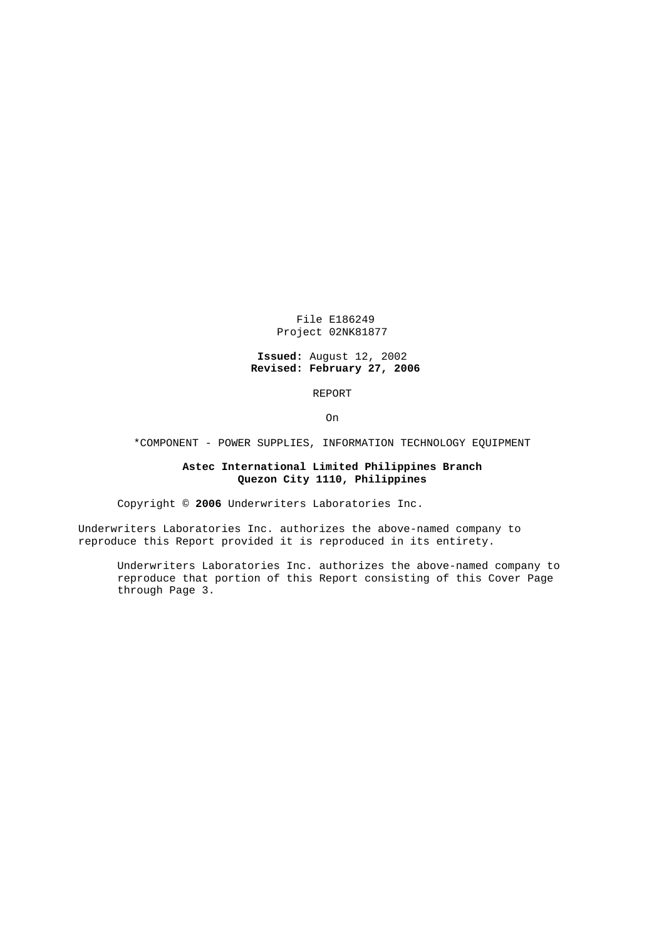File E186249 Project 02NK81877

## **Issued:** August 12, 2002 **Revised: February 27, 2006**

REPORT

On

\*COMPONENT - POWER SUPPLIES, INFORMATION TECHNOLOGY EQUIPMENT

## **Astec International Limited Philippines Branch Quezon City 1110, Philippines**

Copyright © **2006** Underwriters Laboratories Inc.

Underwriters Laboratories Inc. authorizes the above-named company to reproduce this Report provided it is reproduced in its entirety.

Underwriters Laboratories Inc. authorizes the above-named company to reproduce that portion of this Report consisting of this Cover Page through Page 3.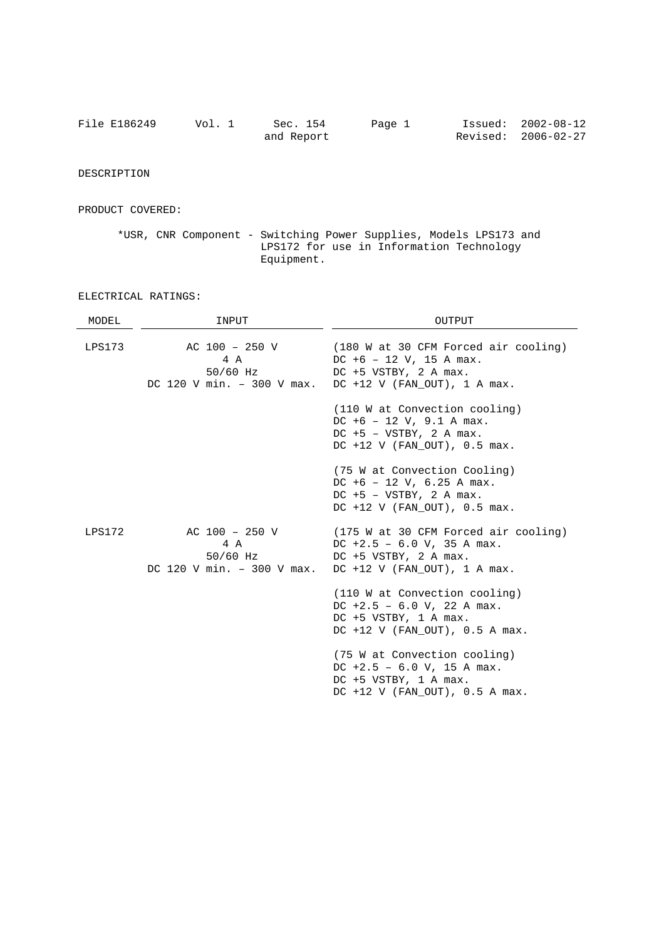| File E186249 | Vol. 1 | Sec. 154   | Page 1 | Issued: 2002-08-12  |
|--------------|--------|------------|--------|---------------------|
|              |        | and Report |        | Revised: 2006-02-27 |

DESCRIPTION

PRODUCT COVERED:

\*USR, CNR Component - Switching Power Supplies, Models LPS173 and LPS172 for use in Information Technology Equipment.

## ELECTRICAL RATINGS:

| MODEL  | INPUT                                                              | OUTPUT                                                                                                                            |  |  |
|--------|--------------------------------------------------------------------|-----------------------------------------------------------------------------------------------------------------------------------|--|--|
| LPS173 | AC 100 - 250 V<br>4 A<br>50/60 Hz<br>DC 120 V min. $-$ 300 V max.  | (180 W at 30 CFM Forced air cooling)<br>$DC +6 - 12 V$ , 15 A max.<br>$DC +5 VSTRY, 2 A max.$<br>$DC +12$ V (FAN OUT), 1 A max.   |  |  |
|        |                                                                    | (110 W at Convection cooling)<br>$DC +6 - 12 V, 9.1 A max.$<br>$DC +5 - VSTBY$ , 2 A max.<br>$DC +12$ V (FAN OUT), $0.5$ max.     |  |  |
|        |                                                                    | (75 W at Convection Cooling)<br>$DC +6 - 12 V$ , 6.25 A max.<br>$DC +5 - VSTBY$ , 2 A max.<br>$DC +12$ V (FAN OUT), $0.5$ max.    |  |  |
| LPS172 | $AC 100 - 250 V$<br>4 A<br>50/60 Hz<br>DC 120 V min. $-300$ V max. | (175 W at 30 CFM Forced air cooling)<br>DC $+2.5 - 6.0$ V, 35 A max.<br>$DC +5 VSTRY, 2 A max.$<br>$DC +12$ V (FAN OUT), 1 A max. |  |  |
|        |                                                                    | (110 W at Convection cooling)<br>DC $+2.5 - 6.0$ V, 22 A max.<br>$DC +5 VSTRY, 1 A max.$<br>$DC +12$ V (FAN OUT), $0.5$ A max.    |  |  |
|        |                                                                    | (75 W at Convection cooling)<br>DC $+2.5 - 6.0$ V, 15 A max.<br>$DC +5 VSTRY$ , 1 A max.<br>$DC +12$ V (FAN OUT), $0.5$ A max.    |  |  |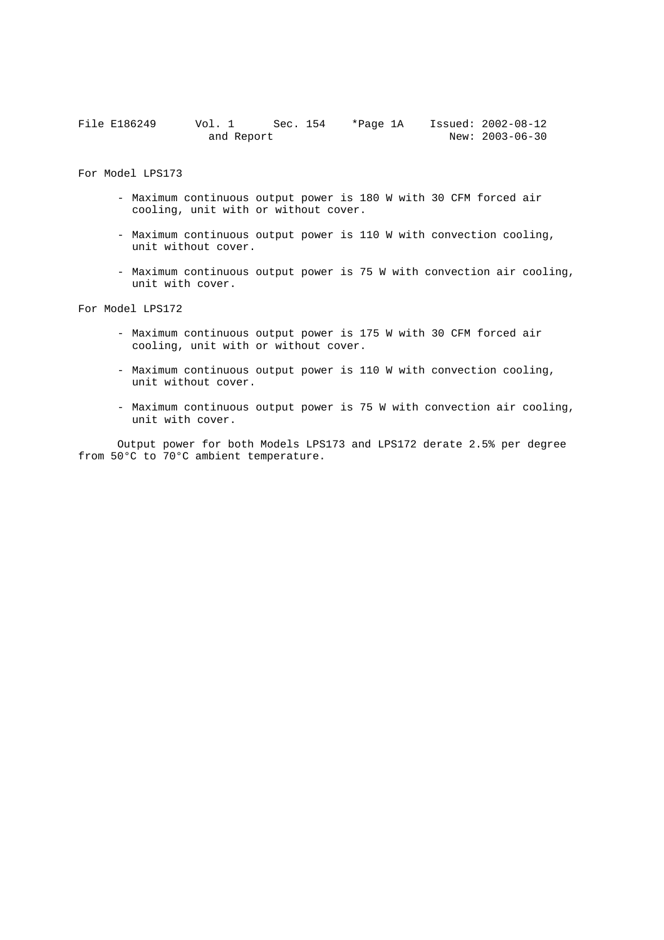| File E186249 | Vol. 1 | Sec. 154   | *Page 1A |  | Issued: 2002-08-12    |
|--------------|--------|------------|----------|--|-----------------------|
|              |        | and Report |          |  | New: $2003 - 06 - 30$ |

For Model LPS173

- Maximum continuous output power is 180 W with 30 CFM forced air cooling, unit with or without cover.
- Maximum continuous output power is 110 W with convection cooling, unit without cover.
- Maximum continuous output power is 75 W with convection air cooling, unit with cover.

For Model LPS172

- Maximum continuous output power is 175 W with 30 CFM forced air cooling, unit with or without cover.
- Maximum continuous output power is 110 W with convection cooling, unit without cover.
- Maximum continuous output power is 75 W with convection air cooling, unit with cover.

Output power for both Models LPS173 and LPS172 derate 2.5% per degree from 50°C to 70°C ambient temperature.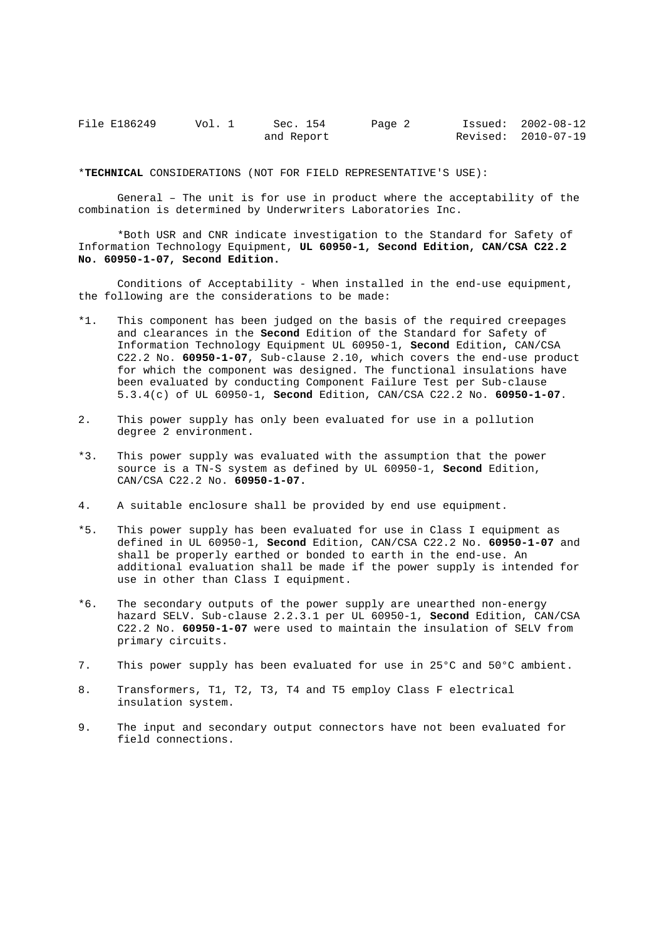| File E186249 | Vol. 1 | Sec. 154   | Page 2 | Issued: 2002-08-12  |
|--------------|--------|------------|--------|---------------------|
|              |        | and Report |        | Revised: 2010-07-19 |

\***TECHNICAL** CONSIDERATIONS (NOT FOR FIELD REPRESENTATIVE'S USE):

General – The unit is for use in product where the acceptability of the combination is determined by Underwriters Laboratories Inc.

\*Both USR and CNR indicate investigation to the Standard for Safety of Information Technology Equipment, **UL 60950-1, Second Edition, CAN/CSA C22.2 No. 60950-1-07, Second Edition.**

Conditions of Acceptability - When installed in the end-use equipment, the following are the considerations to be made:

- \*1. This component has been judged on the basis of the required creepages and clearances in the **Second** Edition of the Standard for Safety of Information Technology Equipment UL 60950-1, **Second** Edition**,** CAN/CSA C22.2 No. **60950-1-07**, Sub-clause 2.10, which covers the end-use product for which the component was designed. The functional insulations have been evaluated by conducting Component Failure Test per Sub-clause 5.3.4(c) of UL 60950-1, **Second** Edition, CAN/CSA C22.2 No. **60950-1-07**.
- 2. This power supply has only been evaluated for use in a pollution degree 2 environment.
- \*3. This power supply was evaluated with the assumption that the power source is a TN-S system as defined by UL 60950-1, **Second** Edition, CAN/CSA C22.2 No. **60950-1-07.**
- 4. A suitable enclosure shall be provided by end use equipment.
- \*5. This power supply has been evaluated for use in Class I equipment as defined in UL 60950-1, **Second** Edition, CAN/CSA C22.2 No. **60950-1-07** and shall be properly earthed or bonded to earth in the end-use. An additional evaluation shall be made if the power supply is intended for use in other than Class I equipment.
- \*6. The secondary outputs of the power supply are unearthed non-energy hazard SELV. Sub-clause 2.2.3.1 per UL 60950-1, **Second** Edition, CAN/CSA C22.2 No. **60950-1-07** were used to maintain the insulation of SELV from primary circuits.
- 7. This power supply has been evaluated for use in 25°C and 50°C ambient.
- 8. Transformers, T1, T2, T3, T4 and T5 employ Class F electrical insulation system.
- 9. The input and secondary output connectors have not been evaluated for field connections.